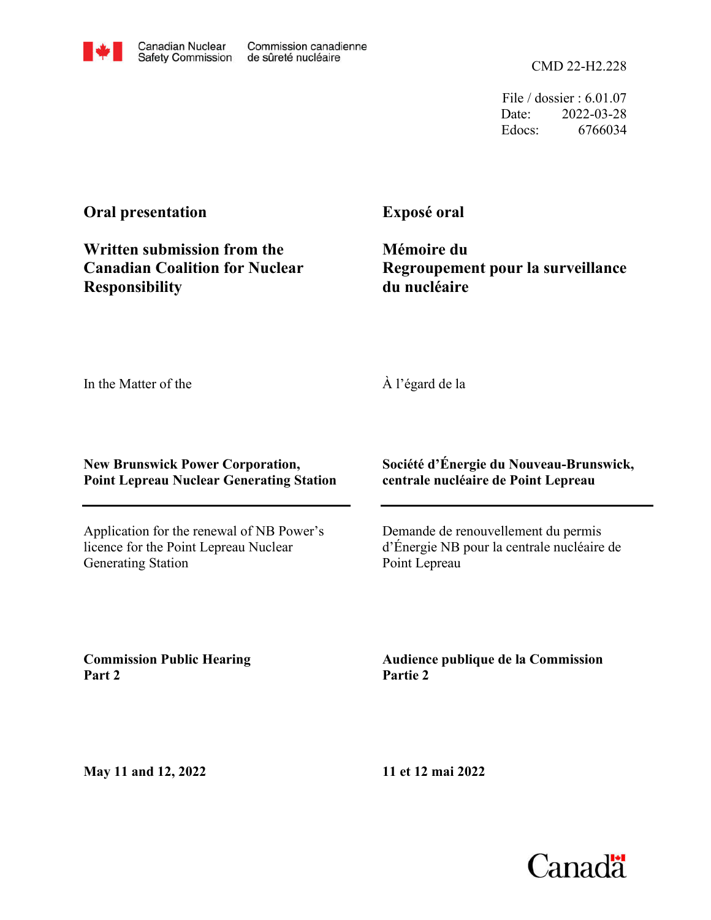File / dossier : 6.01.07 Date: 2022-03-28 Edocs: 6766034

#### **Oral presentation**

**Written submission from the Canadian Coalition for Nuclear Responsibility**

Canadian Nuclear

**Safety Commission** 

Commission canadienne

de sûreté nucléaire

**Exposé oral**

**Mémoire du Regroupement pour la surveillance du nucléaire**

In the Matter of the

À l'égard de la

#### **New Brunswick Power Corporation, Point Lepreau Nuclear Generating Station**

Application for the renewal of NB Power's licence for the Point Lepreau Nuclear Generating Station

**Société d'Énergie du Nouveau-Brunswick, centrale nucléaire de Point Lepreau**

Demande de renouvellement du permis d'Énergie NB pour la centrale nucléaire de Point Lepreau

**Commission Public Hearing Part 2**

**Audience publique de la Commission Partie 2**

**May 11 and 12, 2022**

**11 et 12 mai 2022**

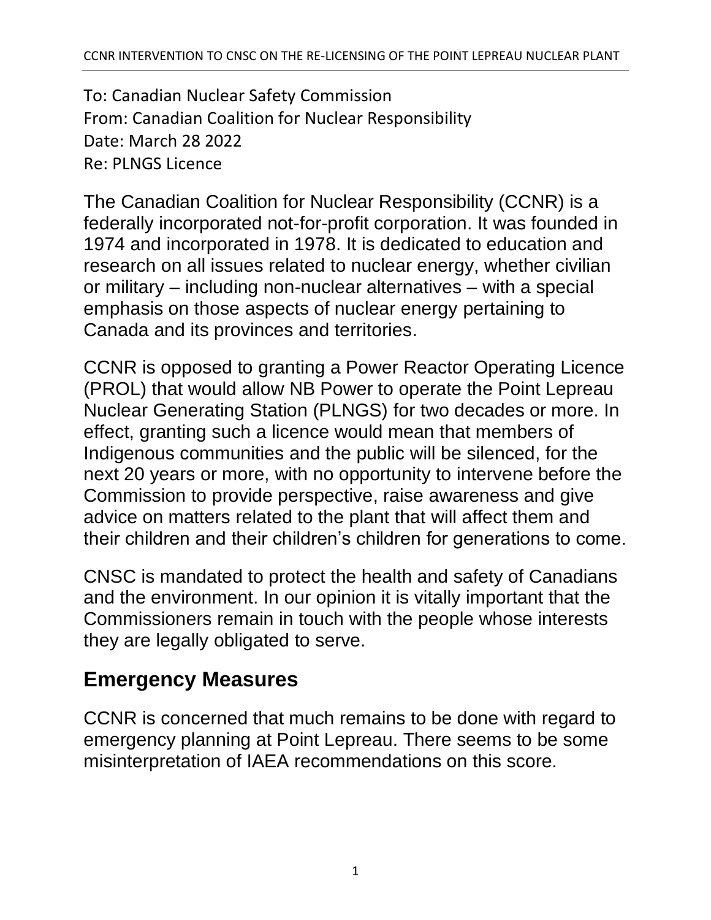To: Canadian Nuclear Safety Commission From: Canadian Coalition for Nuclear Responsibility Date: March 28 2022 Re: PLNGS Licence

The Canadian Coalition for Nuclear Responsibility (CCNR) is a federally incorporated not-for-profit corporation. It was founded in 1974 and incorporated in 1978. It is dedicated to education and research on all issues related to nuclear energy, whether civilian or military – including non-nuclear alternatives – with a special emphasis on those aspects of nuclear energy pertaining to Canada and its provinces and territories.

CCNR is opposed to granting a Power Reactor Operating Licence (PROL) that would allow NB Power to operate the Point Lepreau Nuclear Generating Station (PLNGS) for two decades or more. In effect, granting such a licence would mean that members of Indigenous communities and the public will be silenced, for the next 20 years or more, with no opportunity to intervene before the Commission to provide perspective, raise awareness and give advice on matters related to the plant that will affect them and their children and their children's children for generations to come.

CNSC is mandated to protect the health and safety of Canadians and the environment. In our opinion it is vitally important that the Commissioners remain in touch with the people whose interests they are legally obligated to serve.

## **Emergency Measures**

CCNR is concerned that much remains to be done with regard to emergency planning at Point Lepreau. There seems to be some misinterpretation of IAEA recommendations on this score.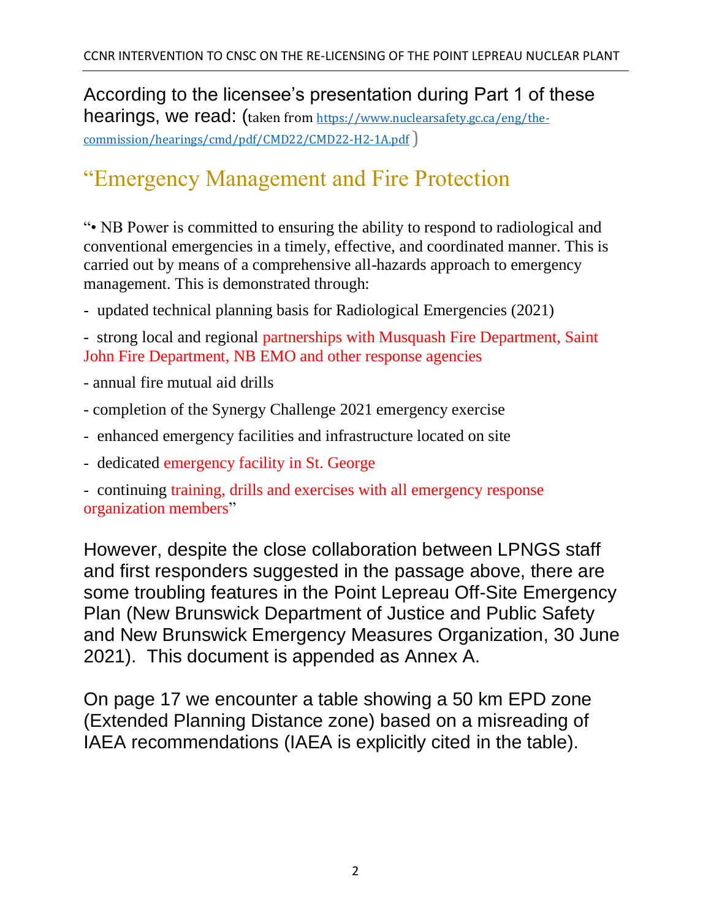According to the licensee's presentation during Part 1 of these hearings, we read: (taken from [https://www.nuclearsafety.gc.ca/eng/the](https://www.nuclearsafety.gc.ca/eng/the-commission/hearings/cmd/pdf/CMD22/CMD22-H2-1A.pdf)[commission/hearings/cmd/pdf/CMD22/CMD22-H2-1A.pdf](https://www.nuclearsafety.gc.ca/eng/the-commission/hearings/cmd/pdf/CMD22/CMD22-H2-1A.pdf))

## "Emergency Management and Fire Protection

"• NB Power is committed to ensuring the ability to respond to radiological and conventional emergencies in a timely, effective, and coordinated manner. This is carried out by means of a comprehensive all-hazards approach to emergency management. This is demonstrated through:

‐ updated technical planning basis for Radiological Emergencies (2021)

- strong local and regional partnerships with Musquash Fire Department, Saint John Fire Department, NB EMO and other response agencies

- annual fire mutual aid drills
- completion of the Synergy Challenge 2021 emergency exercise
- ‐ enhanced emergency facilities and infrastructure located on site
- ‐ dedicated emergency facility in St. George

‐ continuing training, drills and exercises with all emergency response organization members"

However, despite the close collaboration between LPNGS staff and first responders suggested in the passage above, there are some troubling features in the Point Lepreau Off-Site Emergency Plan (New Brunswick Department of Justice and Public Safety and New Brunswick Emergency Measures Organization, 30 June 2021). This document is appended as Annex A.

On page 17 we encounter a table showing a 50 km EPD zone (Extended Planning Distance zone) based on a misreading of IAEA recommendations (IAEA is explicitly cited in the table).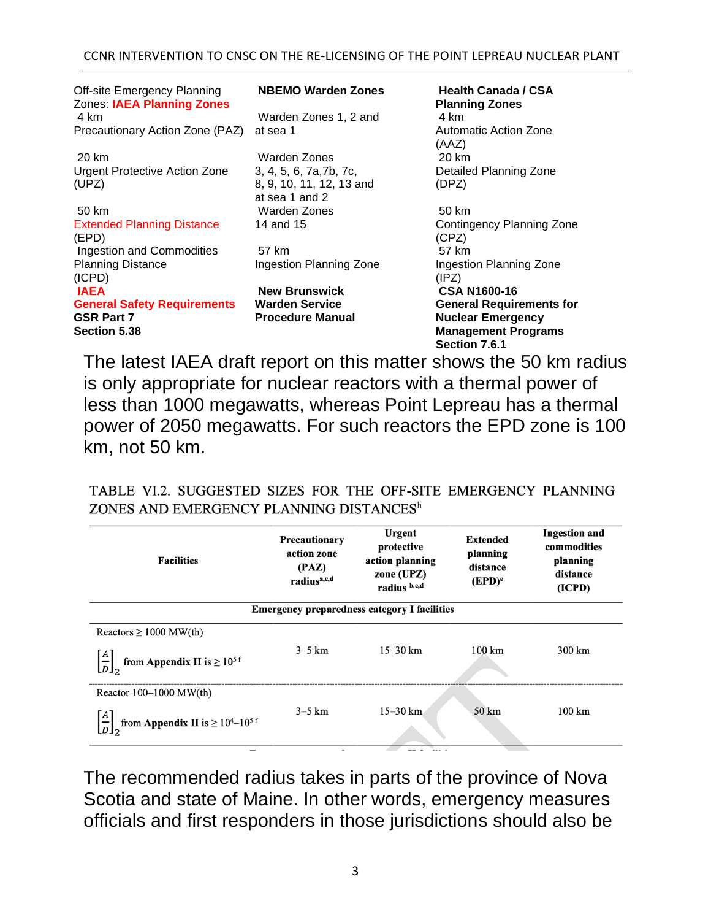#### CCNR INTERVENTION TO CNSC ON THE RE-LICENSING OF THE POINT LEPREAU NUCLEAR PLANT

| Off-site Emergency Planning<br>Zones: IAEA Planning Zones | <b>NBEMO Warden Zones</b>                  | <b>Health Canada / CSA</b><br><b>Planning Zones</b> |  |
|-----------------------------------------------------------|--------------------------------------------|-----------------------------------------------------|--|
| 4 km                                                      | Warden Zones 1, 2 and                      | 4 km                                                |  |
| Precautionary Action Zone (PAZ)                           | at sea 1                                   | Automatic Action Zone<br>(AAZ)                      |  |
| 20 km                                                     | Warden Zones                               | 20 km                                               |  |
| <b>Urgent Protective Action Zone</b>                      | 3, 4, 5, 6, 7a, 7b, 7c,                    | Detailed Planning Zone                              |  |
| (UPZ)                                                     | 8, 9, 10, 11, 12, 13 and<br>at sea 1 and 2 | (DPZ)                                               |  |
| 50 km                                                     | Warden Zones                               | 50 km                                               |  |
| <b>Extended Planning Distance</b><br>(EPD)                | 14 and 15                                  | Contingency Planning Zone<br>(CPZ)                  |  |
| Ingestion and Commodities                                 | 57 km                                      | 57 km                                               |  |
| <b>Planning Distance</b><br>(ICPD)                        | Ingestion Planning Zone                    | Ingestion Planning Zone<br>(IPZ)                    |  |
| <b>IAEA</b>                                               | <b>New Brunswick</b>                       | <b>CSA N1600-16</b>                                 |  |
| <b>General Safety Requirements</b>                        | <b>Warden Service</b>                      | <b>General Requirements for</b>                     |  |
| <b>GSR Part 7</b>                                         | <b>Procedure Manual</b>                    | <b>Nuclear Emergency</b>                            |  |
| <b>Section 5.38</b>                                       |                                            | <b>Management Programs</b><br>Section 7.6.1         |  |

The latest IAEA draft report on this matter shows the 50 km radius is only appropriate for nuclear reactors with a thermal power of less than 1000 megawatts, whereas Point Lepreau has a thermal power of 2050 megawatts. For such reactors the EPD zone is 100 km, not 50 km.

TABLE VI.2. SUGGESTED SIZES FOR THE OFF-SITE EMERGENCY PLANNING ZONES AND EMERGENCY PLANNING DISTANCES<sup>h</sup>

| <b>Facilities</b>                                   | Precautionary<br>action zone<br>(PAZ)<br>radius <sup>a,c,d</sup> | <b>Urgent</b><br>protective<br>action planning<br>zone (UPZ)<br>radius b,c,d | <b>Extended</b><br>planning<br>distance<br>$(EPD)^e$ | <b>Ingestion and</b><br>commodities<br>planning<br>distance<br>(ICPD) |  |  |
|-----------------------------------------------------|------------------------------------------------------------------|------------------------------------------------------------------------------|------------------------------------------------------|-----------------------------------------------------------------------|--|--|
| <b>Emergency preparedness category I facilities</b> |                                                                  |                                                                              |                                                      |                                                                       |  |  |
| Reactors $\geq 1000$ MW(th)                         |                                                                  |                                                                              |                                                      |                                                                       |  |  |
| from Appendix II is $\geq 10^{5\,\mathrm{f}}$       | $3-5$ km                                                         | $15 - 30$ km                                                                 | $100 \mathrm{km}$                                    | 300 km                                                                |  |  |
| Reactor $100-1000$ MW(th)                           |                                                                  |                                                                              |                                                      |                                                                       |  |  |
| from <b>Appendix II</b> is $\geq 10^4 - 10^{5}$ f   | $3-5$ km                                                         | $15 - 30$ km                                                                 | $50 \mathrm{km}$                                     | $100 \mathrm{km}$                                                     |  |  |
|                                                     |                                                                  |                                                                              |                                                      |                                                                       |  |  |

The recommended radius takes in parts of the province of Nova Scotia and state of Maine. In other words, emergency measures officials and first responders in those jurisdictions should also be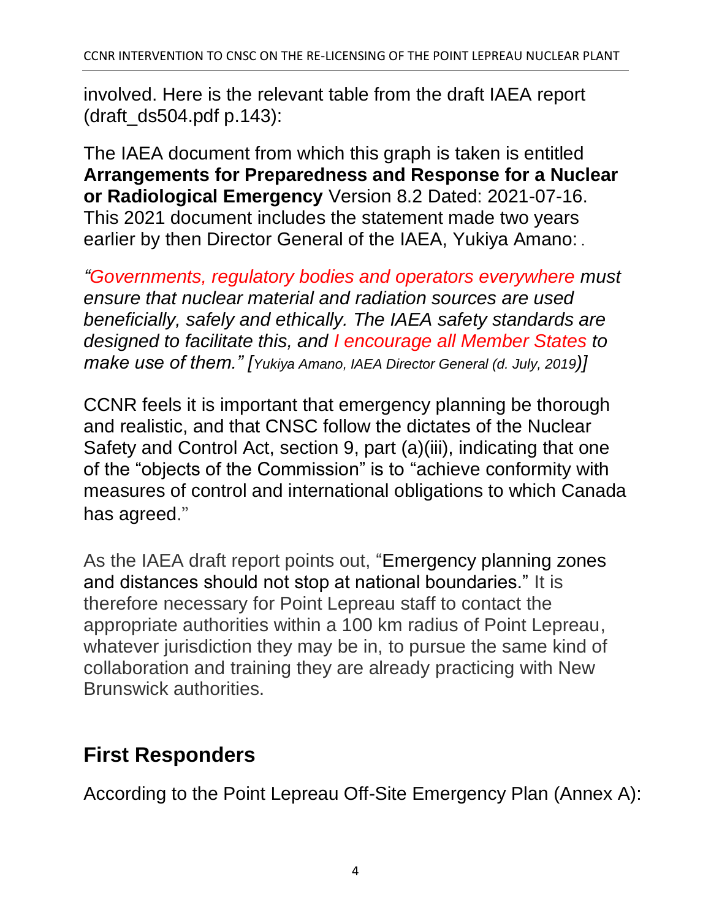involved. Here is the relevant table from the draft IAEA report (draft\_ds504.pdf p.143):

The IAEA document from which this graph is taken is entitled **Arrangements for Preparedness and Response for a Nuclear or Radiological Emergency** Version 8.2 Dated: 2021-07-16. This 2021 document includes the statement made two years earlier by then Director General of the IAEA, Yukiya Amano: .

*"Governments, regulatory bodies and operators everywhere must ensure that nuclear material and radiation sources are used beneficially, safely and ethically. The IAEA safety standards are designed to facilitate this, and I encourage all Member States to make use of them." [Yukiya Amano, IAEA Director General (d. July, 2019)]*

CCNR feels it is important that emergency planning be thorough and realistic, and that CNSC follow the dictates of the Nuclear Safety and Control Act, section 9, part (a)(iii), indicating that one of the "objects of the Commission" is to "achieve conformity with measures of control and international obligations to which Canada has agreed."

As the IAEA draft report points out, "Emergency planning zones and distances should not stop at national boundaries." It is therefore necessary for Point Lepreau staff to contact the appropriate authorities within a 100 km radius of Point Lepreau, whatever jurisdiction they may be in, to pursue the same kind of collaboration and training they are already practicing with New Brunswick authorities.

## **First Responders**

According to the Point Lepreau Off-Site Emergency Plan (Annex A):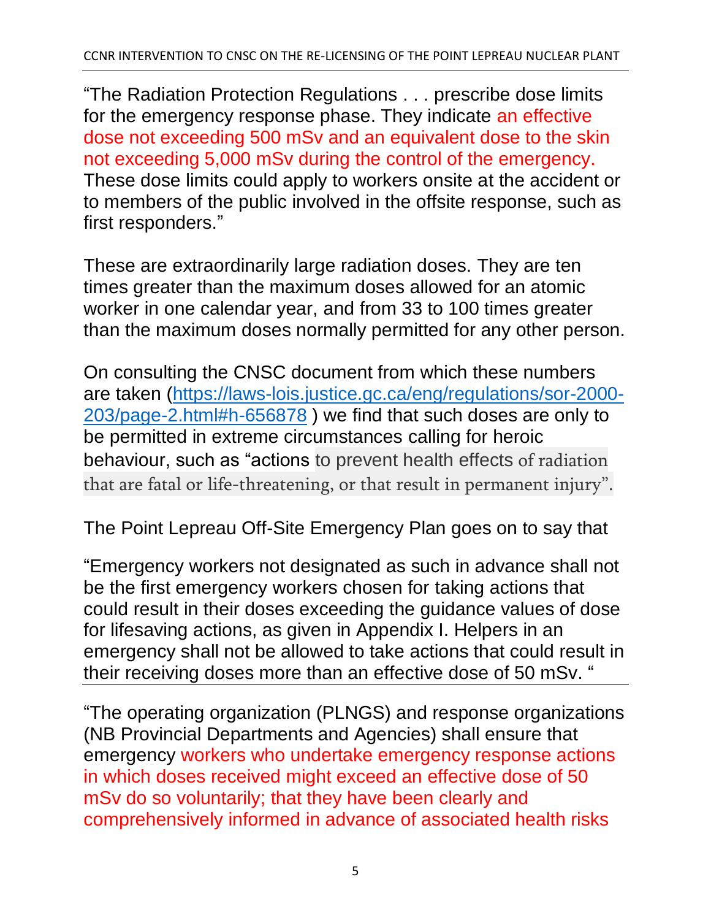"The Radiation Protection Regulations . . . prescribe dose limits for the emergency response phase. They indicate an effective dose not exceeding 500 mSv and an equivalent dose to the skin not exceeding 5,000 mSv during the control of the emergency. These dose limits could apply to workers onsite at the accident or to members of the public involved in the offsite response, such as first responders."

These are extraordinarily large radiation doses. They are ten times greater than the maximum doses allowed for an atomic worker in one calendar year, and from 33 to 100 times greater than the maximum doses normally permitted for any other person.

On consulting the CNSC document from which these numbers are taken [\(https://laws-lois.justice.gc.ca/eng/regulations/sor-2000-](https://laws-lois.justice.gc.ca/eng/regulations/sor-2000-203/page-2.html#h-656878) [203/page-2.html#h-656878](https://laws-lois.justice.gc.ca/eng/regulations/sor-2000-203/page-2.html#h-656878)) we find that such doses are only to be permitted in extreme circumstances calling for heroic behaviour, such as "actions to prevent health effects of radiation that are fatal or life-threatening, or that result in permanent injury".

The Point Lepreau Off-Site Emergency Plan goes on to say that

"Emergency workers not designated as such in advance shall not be the first emergency workers chosen for taking actions that could result in their doses exceeding the guidance values of dose for lifesaving actions, as given in Appendix I. Helpers in an emergency shall not be allowed to take actions that could result in their receiving doses more than an effective dose of 50 mSv. "

"The operating organization (PLNGS) and response organizations (NB Provincial Departments and Agencies) shall ensure that emergency workers who undertake emergency response actions in which doses received might exceed an effective dose of 50 mSv do so voluntarily; that they have been clearly and comprehensively informed in advance of associated health risks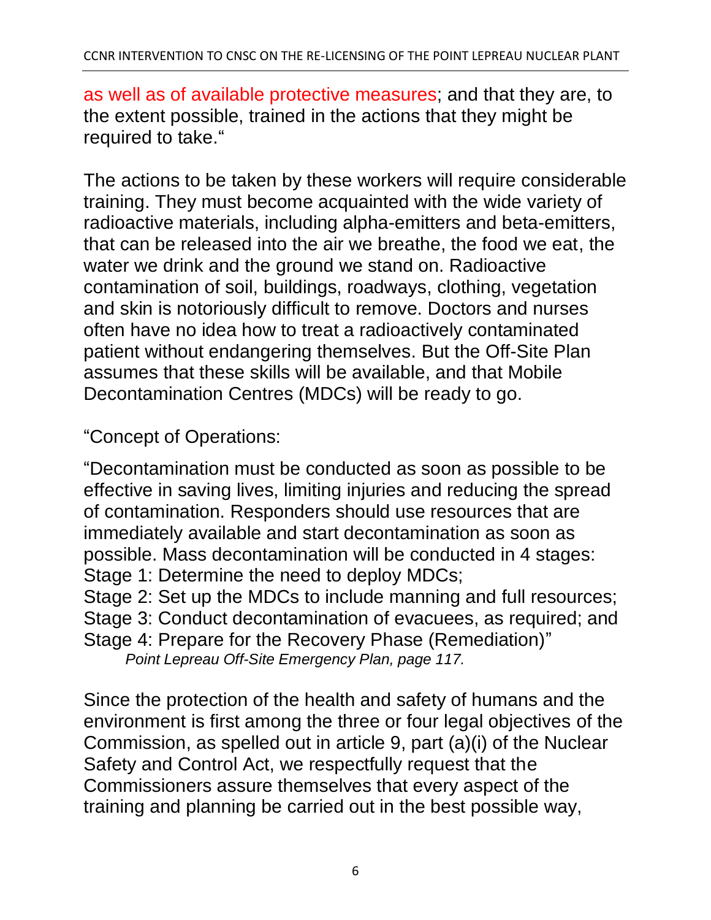as well as of available protective measures; and that they are, to the extent possible, trained in the actions that they might be required to take."

The actions to be taken by these workers will require considerable training. They must become acquainted with the wide variety of radioactive materials, including alpha-emitters and beta-emitters, that can be released into the air we breathe, the food we eat, the water we drink and the ground we stand on. Radioactive contamination of soil, buildings, roadways, clothing, vegetation and skin is notoriously difficult to remove. Doctors and nurses often have no idea how to treat a radioactively contaminated patient without endangering themselves. But the Off-Site Plan assumes that these skills will be available, and that Mobile Decontamination Centres (MDCs) will be ready to go.

"Concept of Operations:

"Decontamination must be conducted as soon as possible to be effective in saving lives, limiting injuries and reducing the spread of contamination. Responders should use resources that are immediately available and start decontamination as soon as possible. Mass decontamination will be conducted in 4 stages: Stage 1: Determine the need to deploy MDCs; Stage 2: Set up the MDCs to include manning and full resources; Stage 3: Conduct decontamination of evacuees, as required; and Stage 4: Prepare for the Recovery Phase (Remediation)"

*Point Lepreau Off-Site Emergency Plan, page 117.*

Since the protection of the health and safety of humans and the environment is first among the three or four legal objectives of the Commission, as spelled out in article 9, part (a)(i) of the Nuclear Safety and Control Act, we respectfully request that the Commissioners assure themselves that every aspect of the training and planning be carried out in the best possible way,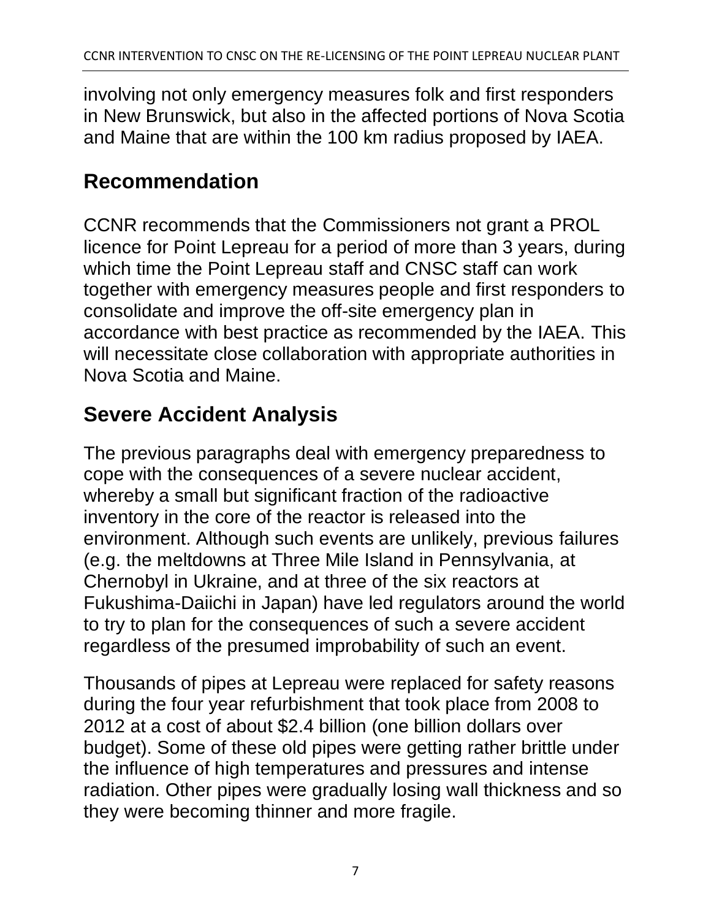involving not only emergency measures folk and first responders in New Brunswick, but also in the affected portions of Nova Scotia and Maine that are within the 100 km radius proposed by IAEA.

## **Recommendation**

CCNR recommends that the Commissioners not grant a PROL licence for Point Lepreau for a period of more than 3 years, during which time the Point Lepreau staff and CNSC staff can work together with emergency measures people and first responders to consolidate and improve the off-site emergency plan in accordance with best practice as recommended by the IAEA. This will necessitate close collaboration with appropriate authorities in Nova Scotia and Maine.

# **Severe Accident Analysis**

The previous paragraphs deal with emergency preparedness to cope with the consequences of a severe nuclear accident, whereby a small but significant fraction of the radioactive inventory in the core of the reactor is released into the environment. Although such events are unlikely, previous failures (e.g. the meltdowns at Three Mile Island in Pennsylvania, at Chernobyl in Ukraine, and at three of the six reactors at Fukushima-Daiichi in Japan) have led regulators around the world to try to plan for the consequences of such a severe accident regardless of the presumed improbability of such an event.

Thousands of pipes at Lepreau were replaced for safety reasons during the four year refurbishment that took place from 2008 to 2012 at a cost of about \$2.4 billion (one billion dollars over budget). Some of these old pipes were getting rather brittle under the influence of high temperatures and pressures and intense radiation. Other pipes were gradually losing wall thickness and so they were becoming thinner and more fragile.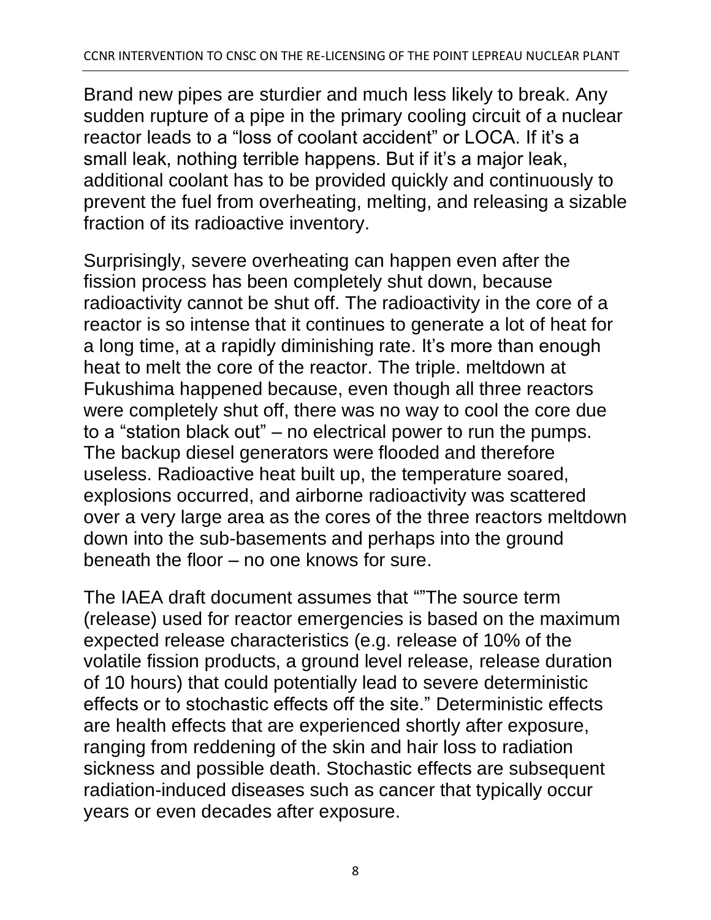Brand new pipes are sturdier and much less likely to break. Any sudden rupture of a pipe in the primary cooling circuit of a nuclear reactor leads to a "loss of coolant accident" or LOCA. If it's a small leak, nothing terrible happens. But if it's a major leak, additional coolant has to be provided quickly and continuously to prevent the fuel from overheating, melting, and releasing a sizable fraction of its radioactive inventory.

Surprisingly, severe overheating can happen even after the fission process has been completely shut down, because radioactivity cannot be shut off. The radioactivity in the core of a reactor is so intense that it continues to generate a lot of heat for a long time, at a rapidly diminishing rate. It's more than enough heat to melt the core of the reactor. The triple. meltdown at Fukushima happened because, even though all three reactors were completely shut off, there was no way to cool the core due to a "station black out" – no electrical power to run the pumps. The backup diesel generators were flooded and therefore useless. Radioactive heat built up, the temperature soared, explosions occurred, and airborne radioactivity was scattered over a very large area as the cores of the three reactors meltdown down into the sub-basements and perhaps into the ground beneath the floor – no one knows for sure.

The IAEA draft document assumes that ""The source term (release) used for reactor emergencies is based on the maximum expected release characteristics (e.g. release of 10% of the volatile fission products, a ground level release, release duration of 10 hours) that could potentially lead to severe deterministic effects or to stochastic effects off the site." Deterministic effects are health effects that are experienced shortly after exposure, ranging from reddening of the skin and hair loss to radiation sickness and possible death. Stochastic effects are subsequent radiation-induced diseases such as cancer that typically occur years or even decades after exposure.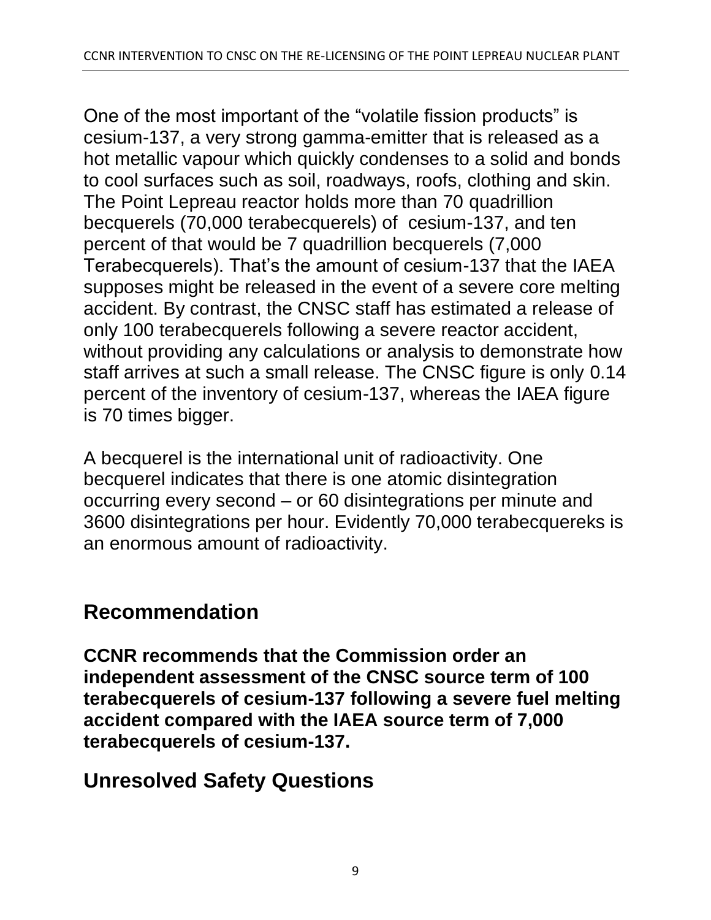One of the most important of the "volatile fission products" is cesium-137, a very strong gamma-emitter that is released as a hot metallic vapour which quickly condenses to a solid and bonds to cool surfaces such as soil, roadways, roofs, clothing and skin. The Point Lepreau reactor holds more than 70 quadrillion becquerels (70,000 terabecquerels) of cesium-137, and ten percent of that would be 7 quadrillion becquerels (7,000 Terabecquerels). That's the amount of cesium-137 that the IAEA supposes might be released in the event of a severe core melting accident. By contrast, the CNSC staff has estimated a release of only 100 terabecquerels following a severe reactor accident, without providing any calculations or analysis to demonstrate how staff arrives at such a small release. The CNSC figure is only 0.14 percent of the inventory of cesium-137, whereas the IAEA figure is 70 times bigger.

A becquerel is the international unit of radioactivity. One becquerel indicates that there is one atomic disintegration occurring every second – or 60 disintegrations per minute and 3600 disintegrations per hour. Evidently 70,000 terabecquereks is an enormous amount of radioactivity.

### **Recommendation**

**CCNR recommends that the Commission order an independent assessment of the CNSC source term of 100 terabecquerels of cesium-137 following a severe fuel melting accident compared with the IAEA source term of 7,000 terabecquerels of cesium-137.**

## **Unresolved Safety Questions**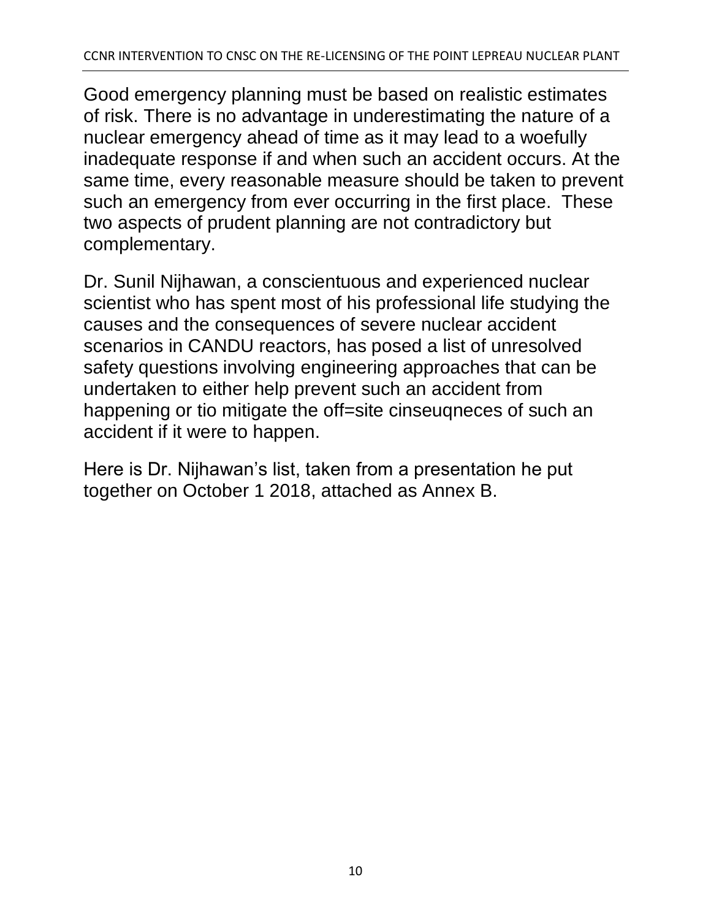Good emergency planning must be based on realistic estimates of risk. There is no advantage in underestimating the nature of a nuclear emergency ahead of time as it may lead to a woefully inadequate response if and when such an accident occurs. At the same time, every reasonable measure should be taken to prevent such an emergency from ever occurring in the first place. These two aspects of prudent planning are not contradictory but complementary.

Dr. Sunil Nijhawan, a conscientuous and experienced nuclear scientist who has spent most of his professional life studying the causes and the consequences of severe nuclear accident scenarios in CANDU reactors, has posed a list of unresolved safety questions involving engineering approaches that can be undertaken to either help prevent such an accident from happening or tio mitigate the off=site cinseuqneces of such an accident if it were to happen.

Here is Dr. Nijhawan's list, taken from a presentation he put together on October 1 2018, attached as Annex B.